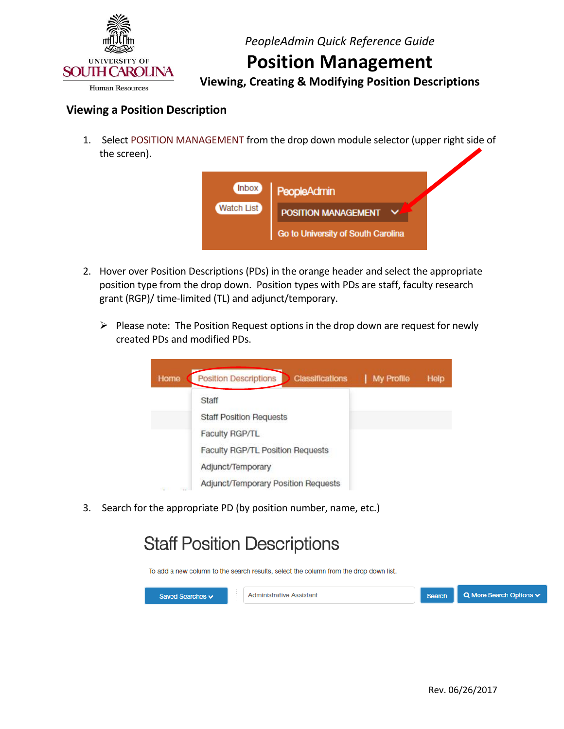

## **Position Management**

 **Viewing, Creating & Modifying Position Descriptions** 

### **Viewing a Position Description**

 1. Select POSITION MANAGEMENT from the drop down module selector (upper right side of the screen).

| Inbox      | PeopleAdmin                        |  |
|------------|------------------------------------|--|
| Watch List | <b>POSITION MANAGEMENT</b>         |  |
|            | Go to University of South Carolina |  |

- 2. Hover over Position Descriptions (PDs) in the orange header and select the appropriate position type from the drop down. Position types with PDs are staff, faculty research grant (RGP)/ time-limited (TL) and adjunct/temporary.
	- $\triangleright$  Please note: The Position Request options in the drop down are request for newly created PDs and modified PDs.



3. Search for the appropriate PD (by position number, name, etc.)

# **Staff Position Descriptions**

To add a new column to the search results, select the column from the drop down list.

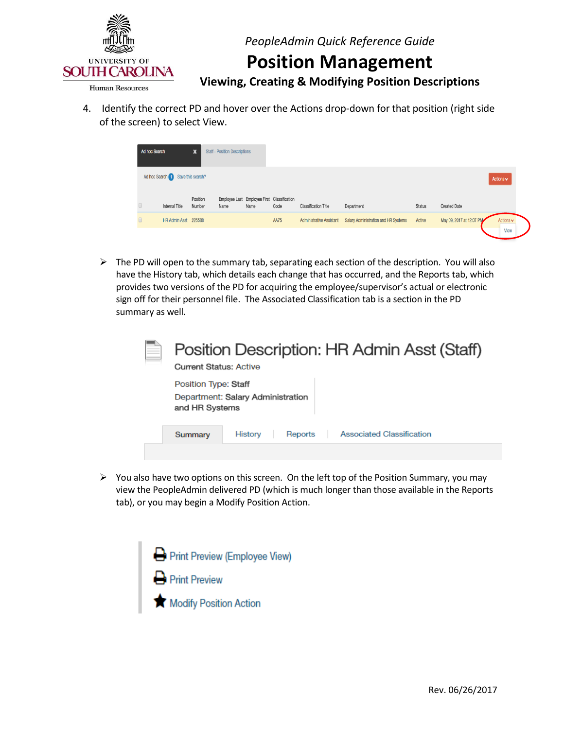

### **Position Management**

 **Viewing, Creating & Modifying Position Descriptions** 

 4. Identify the correct PD and hover over the Actions drop-down for that position (right side of the screen) to select View.

| Ad hoc Search |                                   | x                  | <b>Staff - Position Descriptions</b> |      |                                                     |                                 |                                      |               |                          |                               |
|---------------|-----------------------------------|--------------------|--------------------------------------|------|-----------------------------------------------------|---------------------------------|--------------------------------------|---------------|--------------------------|-------------------------------|
|               | Ad hoc Search 1 Save this search? |                    |                                      |      |                                                     |                                 |                                      |               |                          | Actions $\vee$                |
|               | Internal Title                    | Position<br>Number | Name                                 | Name | Employee Last Employee First Classification<br>Code | <b>Classification Title</b>     | Department                           | <b>Status</b> | <b>Created Date</b>      |                               |
|               | HR Admin Asst 225588              |                    |                                      |      | <b>AA75</b>                                         | <b>Administrative Assistant</b> | Salary Administration and HR Systems | Active        | May 09, 2017 at 12:07 PM | Actions $\mathbf{\mathsf{v}}$ |
|               |                                   |                    |                                      |      |                                                     |                                 |                                      |               |                          | View                          |

 $\triangleright$  The PD will open to the summary tab, separating each section of the description. You will also have the History tab, which details each change that has occurred, and the Reports tab, which provides two versions of the PD for acquiring the employee/supervisor's actual or electronic sign off for their personnel file. The Associated Classification tab is a section in the PD summary as well.

|         | Position Description: HR Admin Asst (Staff)<br><b>Current Status: Active</b><br>Position Type: Staff<br>Department: Salary Administration<br>and HR Systems<br><b>Associated Classification</b><br><b>History</b><br>Reports |  |
|---------|------------------------------------------------------------------------------------------------------------------------------------------------------------------------------------------------------------------------------|--|
|         |                                                                                                                                                                                                                              |  |
| Summary |                                                                                                                                                                                                                              |  |
|         |                                                                                                                                                                                                                              |  |

 $\triangleright$  You also have two options on this screen. On the left top of the Position Summary, you may view the PeopleAdmin delivered PD (which is much longer than those available in the Reports tab), or you may begin a Modify Position Action.

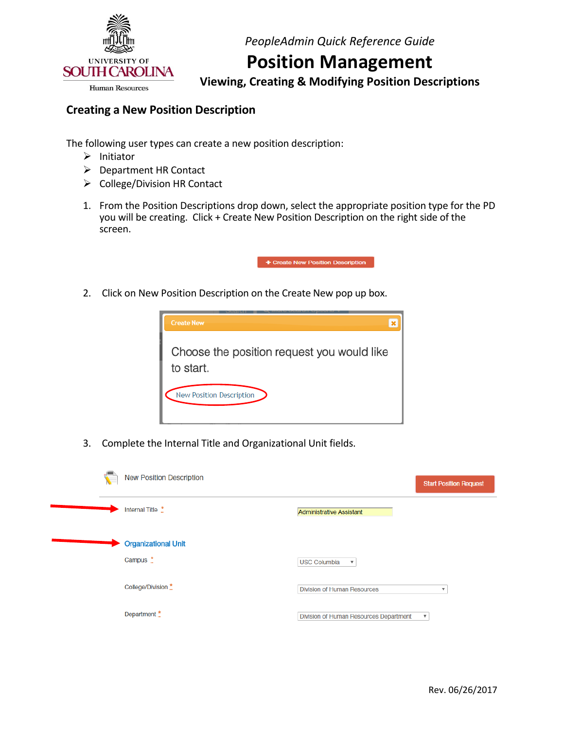

## **Position Management**

 **Viewing, Creating & Modifying Position Descriptions** 

### **Creating a New Position Description**

The following user types can create a new position description:

- $\triangleright$  Initiator
- Department HR Contact
- $\triangleright$  College/Division HR Contact
- 1. From the Position Descriptions drop down, select the appropriate position type for the PD you will be creating. Click + Create New Position Description on the right side of the screen.



2. Click on New Position Description on the Create New pop up box.



3. Complete the Internal Title and Organizational Unit fields.

| $\mathbf{C}$ | <b>New Position Description</b>        |                                                                     | <b>Start Position Request</b> |
|--------------|----------------------------------------|---------------------------------------------------------------------|-------------------------------|
|              | Internal Title *                       | <b>Administrative Assistant</b>                                     |                               |
|              | <b>Organizational Unit</b><br>Campus * | <b>USC Columbia</b><br>$\overline{\mathbf{v}}$                      |                               |
|              | College/Division *                     | <b>Division of Human Resources</b><br>v                             |                               |
|              | Department *                           | Division of Human Resources Department<br>$\boldsymbol{\mathrm{v}}$ |                               |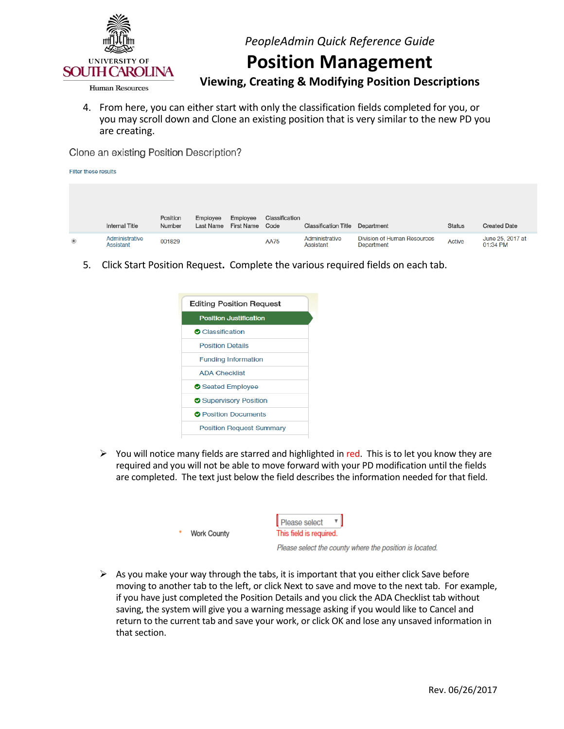

## **Position Management**

 **Viewing, Creating & Modifying Position Descriptions** 

 4. From here, you can either start with only the classification fields completed for you, or you may scroll down and Clone an existing position that is very similar to the new PD you are creating.

Clone an existing Position Description?

| Filter these results |                             |                    |                       |                               |                        |                             |                                                  |               |                              |
|----------------------|-----------------------------|--------------------|-----------------------|-------------------------------|------------------------|-----------------------------|--------------------------------------------------|---------------|------------------------------|
|                      |                             |                    |                       |                               |                        |                             |                                                  |               |                              |
|                      | <b>Internal Title</b>       | Position<br>Number | Employee<br>Last Name | Employee<br><b>First Name</b> | Classification<br>Code | <b>Classification Title</b> | Department                                       | <b>Status</b> | <b>Created Date</b>          |
| $^{\circ}$           | Administrative<br>Assistant | 001829             |                       |                               | <b>AA75</b>            | Administrative<br>Assistant | <b>Division of Human Resources</b><br>Department | <b>Active</b> | June 25, 2017 at<br>01:34 PM |

5. Click Start Position Request**.** Complete the various required fields on each tab.



 $\triangleright$  You will notice many fields are starred and highlighted in red. This is to let you know they are required and you will not be able to move forward with your PD modification until the fields are completed. The text just below the field describes the information needed for that field.

| Work County | Please select<br>This field is required.                |
|-------------|---------------------------------------------------------|
|             | Please select the county where the position is located. |

 $\triangleright$  As you make your way through the tabs, it is important that you either click Save before moving to another tab to the left, or click Next to save and move to the next tab. For example, if you have just completed the Position Details and you click the ADA Checklist tab without saving, the system will give you a warning message asking if you would like to Cancel and return to the current tab and save your work, or click OK and lose any unsaved information in that section.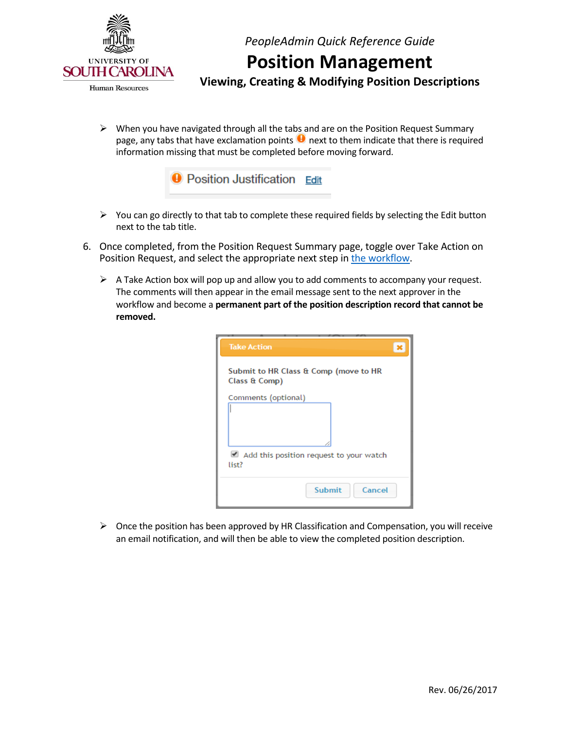

# **Position Management**

 **Viewing, Creating & Modifying Position Descriptions** 

 $\triangleright$  When you have navigated through all the tabs and are on the Position Request Summary page, any tabs that have exclamation points  $\bigcup$  next to them indicate that there is required information missing that must be completed before moving forward.



- $\triangleright$  You can go directly to that tab to complete these required fields by selecting the Edit button next to the tab title.
- 6. Once completed, from the Position Request Summary page, toggle over Take Action on Position Request, and select the appropriate next step in [the workflow.](http://www.sc.edu/about/offices_and_divisions/human_resources/docs/pa_system_workflows.pdf)
	- $\triangleright$  A Take Action box will pop up and allow you to add comments to accompany your request. The comments will then appear in the email message sent to the next approver in the workflow and become a **permanent part of the position description record that cannot be removed.**

| <b>Take Action</b>                                                          |  |
|-----------------------------------------------------------------------------|--|
| Submit to HR Class & Comp (move to HR<br>Class & Comp)                      |  |
| Comments (optional)                                                         |  |
| Add this position request to your watch<br>list?<br><b>Submit</b><br>Cancel |  |
|                                                                             |  |

 $\triangleright$  Once the position has been approved by HR Classification and Compensation, you will receive an email notification, and will then be able to view the completed position description.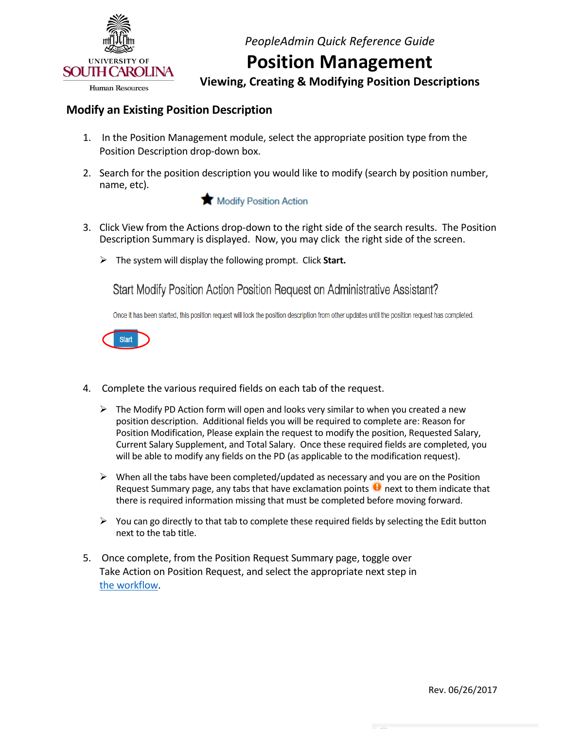

## **Position Management**

 **Viewing, Creating & Modifying Position Descriptions** 

### **Modify an Existing Position Description**

- 1. In the Position Management module, select the appropriate position type from the Position Description drop-down box.
- 2. Search for the position description you would like to modify (search by position number, name, etc).



- 3. Click View from the Actions drop-down to the right side of the search results. The Position Description Summary is displayed. Now, you may click the right side of the screen.
	- The system will display the following prompt. Click **Start.**

Start Modify Position Action Position Request on Administrative Assistant?

Once it has been started, this position request will lock the position description from other updates until the position request has completed.



- 4. Complete the various required fields on each tab of the request.
	- $\triangleright$  The Modify PD Action form will open and looks very similar to when you created a new position description. Additional fields you will be required to complete are: Reason for Position Modification, Please explain the request to modify the position, Requested Salary, Current Salary Supplement, and Total Salary. Once these required fields are completed, you will be able to modify any fields on the PD (as applicable to the modification request).
	- $\triangleright$  When all the tabs have been completed/updated as necessary and you are on the Position Request Summary page, any tabs that have exclamation points  $\bullet$  next to them indicate that there is required information missing that must be completed before moving forward.
	- $\triangleright$  You can go directly to that tab to complete these required fields by selecting the Edit button next to the tab title.
- 5. Once complete, from the Position Request Summary page, toggle over Take Action on Position Request, and select the appropriate next step in the workflow. [the workflow.](http://www.sc.edu/about/offices_and_divisions/human_resources/docs/pa_system_workflows.pdf)<br>Rev. 06/26/2017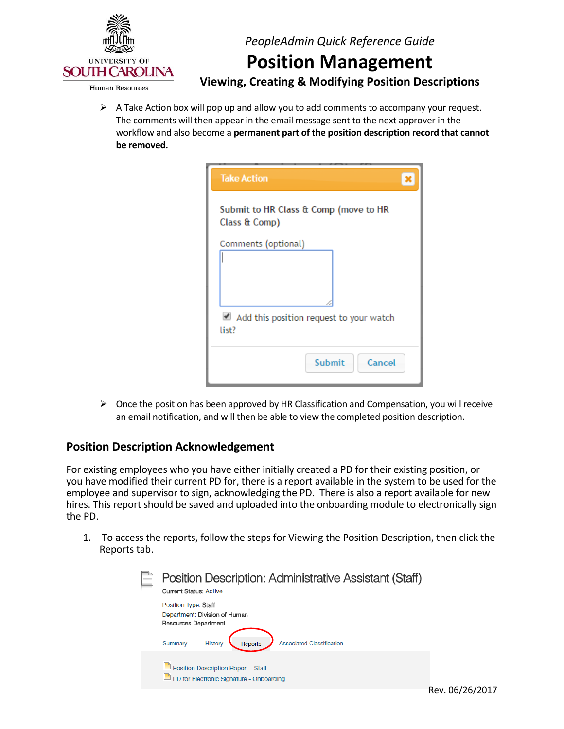

**Human Resources** 

*PeopleAdmin Quick Reference Guide* 

# **Position Management**

 **Viewing, Creating & Modifying Position Descriptions** 

 $\triangleright$  A Take Action box will pop up and allow you to add comments to accompany your request. The comments will then appear in the email message sent to the next approver in the workflow and also become a **permanent part of the position description record that cannot be removed.** 

| <b>Take Action</b>                                     |  |
|--------------------------------------------------------|--|
| Submit to HR Class & Comp (move to HR<br>Class & Comp) |  |
| Comments (optional)                                    |  |
| Add this position request to your watch<br>list?       |  |
| <b>Submit</b><br>Cancel                                |  |

 $\triangleright$  Once the position has been approved by HR Classification and Compensation, you will receive an email notification, and will then be able to view the completed position description.

#### **Position Description Acknowledgement**

 For existing employees who you have either initially created a PD for their existing position, or you have modified their current PD for, there is a report available in the system to be used for the employee and supervisor to sign, acknowledging the PD. There is also a report available for new hires. This report should be saved and uploaded into the onboarding module to electronically sign the PD.

 1. To access the reports, follow the steps for Viewing the Position Description, then click the Reports tab.

| Position Description: Administrative Assistant (Staff)<br><b>Current Status: Active</b> |  |
|-----------------------------------------------------------------------------------------|--|
| <b>Position Type: Staff</b><br>Department: Division of Human                            |  |
| <b>Resources Department</b>                                                             |  |
| <b>Associated Classification</b><br>History<br>Reports<br>Summary                       |  |
| Position Description Report - Staff<br>PD for Electronic Signature - Onboarding         |  |